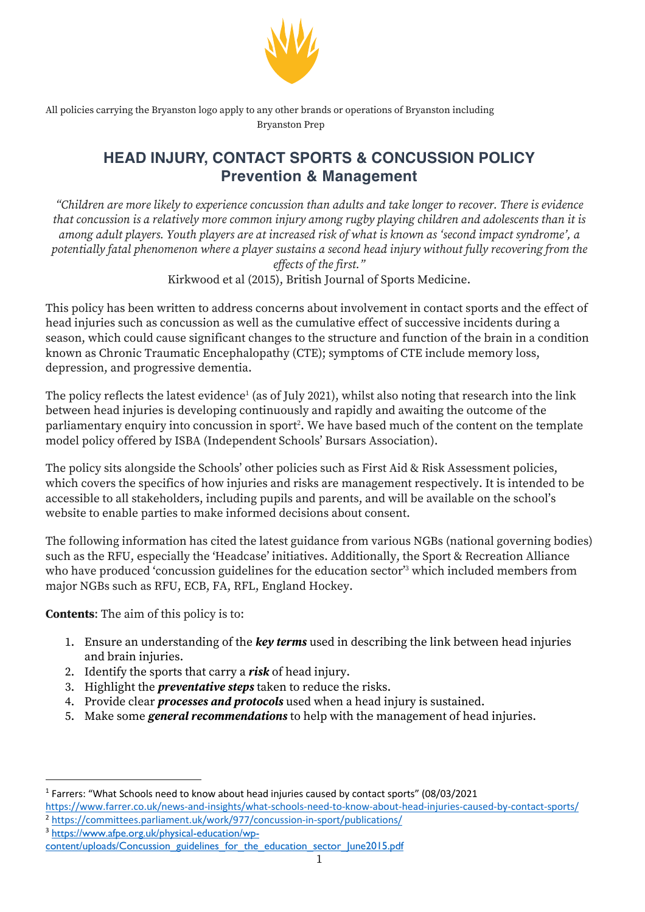

All policies carrying the Bryanston logo apply to any other brands or operations of Bryanston including Bryanston Prep

# **HEAD INJURY, CONTACT SPORTS & CONCUSSION POLICY Prevention & Management**

*"Children are more likely to experience concussion than adults and take longer to recover. There is evidence that concussion is a relatively more common injury among rugby playing children and adolescents than it is among adult players. Youth players are at increased risk of what is known as 'second impact syndrome', a potentially fatal phenomenon where a player sustains a second head injury without fully recovering from the effects of the first."*

Kirkwood et al (2015), British Journal of Sports Medicine.

This policy has been written to address concerns about involvement in contact sports and the effect of head injuries such as concussion as well as the cumulative effect of successive incidents during a season, which could cause significant changes to the structure and function of the brain in a condition known as Chronic Traumatic Encephalopathy (CTE); symptoms of CTE include memory loss, depression, and progressive dementia.

The policy reflects the latest evidence<sup>1</sup> (as of July 2021), whilst also noting that research into the link between head injuries is developing continuously and rapidly and awaiting the outcome of the parliamentary enquiry into concussion in  $\text{sport}^2$ . We have based much of the content on the template model policy offered by ISBA (Independent Schools' Bursars Association).

The policy sits alongside the Schools' other policies such as First Aid & Risk Assessment policies, which covers the specifics of how injuries and risks are management respectively. It is intended to be accessible to all stakeholders, including pupils and parents, and will be available on the school's website to enable parties to make informed decisions about consent.

The following information has cited the latest guidance from various NGBs (national governing bodies) such as the RFU, especially the 'Headcase' initiatives. Additionally, the Sport & Recreation Alliance who have produced 'concussion guidelines for the education sector'3 which included members from major NGBs such as RFU, ECB, FA, RFL, England Hockey.

**Contents**: The aim of this policy is to:

- 1. Ensure an understanding of the *key terms* used in describing the link between head injuries and brain injuries.
- 2. Identify the sports that carry a *risk* of head injury.
- 3. Highlight the *preventative steps* taken to reduce the risks.
- 4. Provide clear *processes and protocols* used when a head injury is sustained.
- 5. Make some *general recommendations* to help with the management of head injuries.

<sup>1</sup> Farrers: "What Schools need to know about head injuries caused by contact sports" (08/03/2021 https://www.farrer.co.uk/news-and-insights/what-schools-need-to-know-about-head-injuries-caused-by-contact-sports/

<sup>2</sup> https://committees.parliament.uk/work/977/concussion-in-sport/publications/

<sup>3</sup> https://www.afpe.org.uk/physical-education/wp-

content/uploads/Concussion\_guidelines\_for\_the\_education\_sector\_June2015.pdf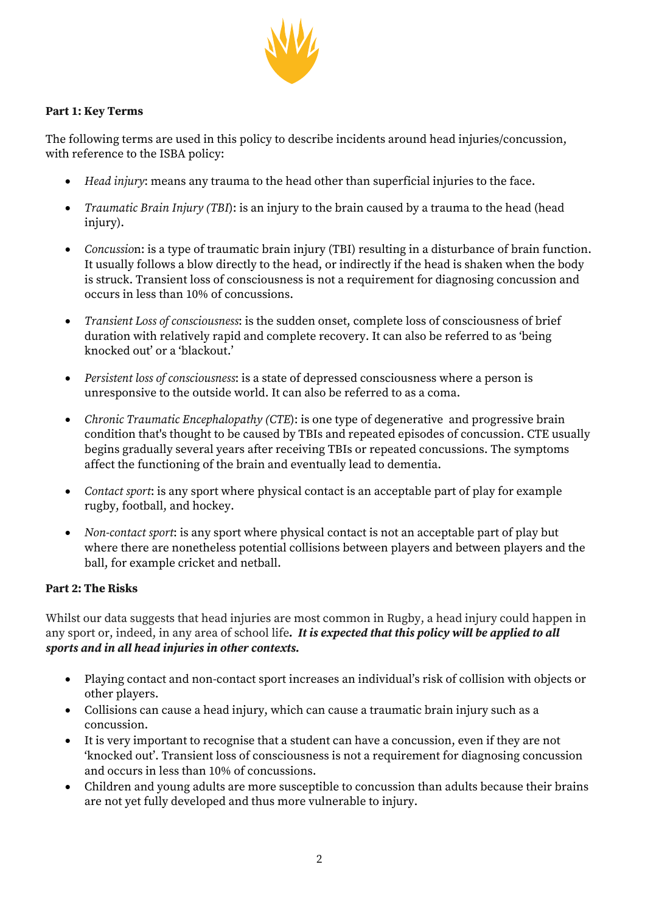

## **Part 1: Key Terms**

The following terms are used in this policy to describe incidents around head injuries/concussion, with reference to the ISBA policy:

- *Head injury*: means any trauma to the head other than superficial injuries to the face.
- *Traumatic Brain Injury (TBI*): is an injury to the brain caused by a trauma to the head (head injury).
- *Concussio*n: is a type of traumatic brain injury (TBI) resulting in a disturbance of brain function. It usually follows a blow directly to the head, or indirectly if the head is shaken when the body is struck. Transient loss of consciousness is not a requirement for diagnosing concussion and occurs in less than 10% of concussions.
- *Transient Loss of consciousness*: is the sudden onset, complete loss of consciousness of brief duration with relatively rapid and complete recovery. It can also be referred to as 'being knocked out' or a 'blackout.'
- *Persistent loss of consciousness*: is a state of depressed consciousness where a person is unresponsive to the outside world. It can also be referred to as a coma.
- *Chronic Traumatic Encephalopathy (CTE*): is one type of degenerative and progressive brain condition that's thought to be caused by TBIs and repeated episodes of concussion. CTE usually begins gradually several years after receiving TBIs or repeated concussions. The symptoms affect the functioning of the brain and eventually lead to dementia.
- *Contact sport*: is any sport where physical contact is an acceptable part of play for example rugby, football, and hockey.
- *Non-contact sport*: is any sport where physical contact is not an acceptable part of play but where there are nonetheless potential collisions between players and between players and the ball, for example cricket and netball.

## **Part 2: The Risks**

Whilst our data suggests that head injuries are most common in Rugby, a head injury could happen in any sport or, indeed, in any area of school life*. It is expected that this policy will be applied to all sports and in all head injuries in other contexts.* 

- Playing contact and non-contact sport increases an individual's risk of collision with objects or other players.
- Collisions can cause a head injury, which can cause a traumatic brain injury such as a concussion.
- It is very important to recognise that a student can have a concussion, even if they are not 'knocked out'. Transient loss of consciousness is not a requirement for diagnosing concussion and occurs in less than 10% of concussions.
- Children and young adults are more susceptible to concussion than adults because their brains are not yet fully developed and thus more vulnerable to injury.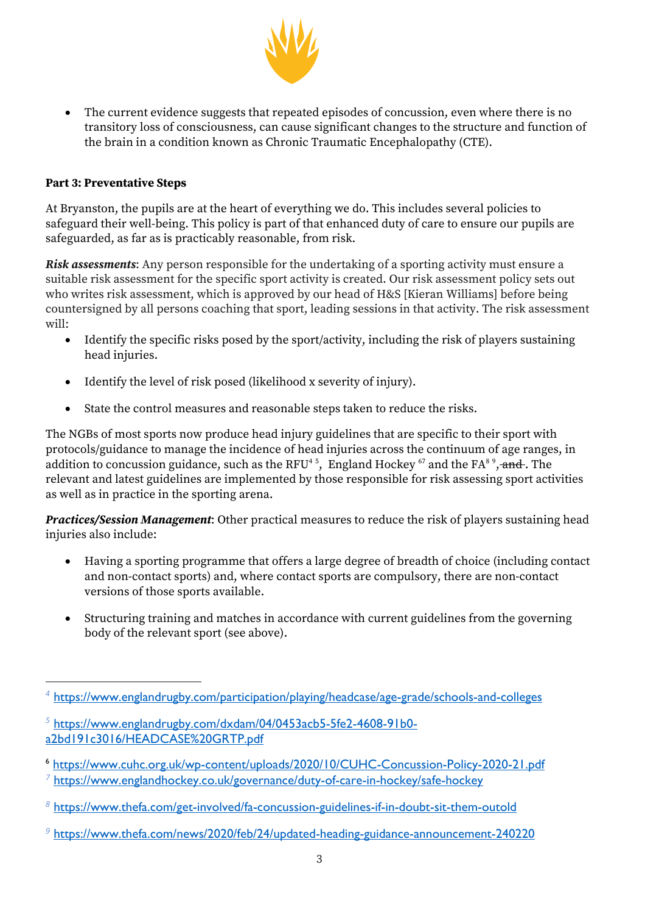

• The current evidence suggests that repeated episodes of concussion, even where there is no transitory loss of consciousness, can cause significant changes to the structure and function of the brain in a condition known as Chronic Traumatic Encephalopathy (CTE).

## **Part 3: Preventative Steps**

At Bryanston, the pupils are at the heart of everything we do. This includes several policies to safeguard their well-being. This policy is part of that enhanced duty of care to ensure our pupils are safeguarded, as far as is practicably reasonable, from risk.

*Risk assessments*: Any person responsible for the undertaking of a sporting activity must ensure a suitable risk assessment for the specific sport activity is created. Our risk assessment policy sets out who writes risk assessment, which is approved by our head of H&S [Kieran Williams] before being countersigned by all persons coaching that sport, leading sessions in that activity. The risk assessment will:

- Identify the specific risks posed by the sport/activity, including the risk of players sustaining head injuries.
- Identify the level of risk posed (likelihood x severity of injury).
- State the control measures and reasonable steps taken to reduce the risks.

The NGBs of most sports now produce head injury guidelines that are specific to their sport with protocols/guidance to manage the incidence of head injuries across the continuum of age ranges, in addition to concussion guidance, such as the RFU<sup>4 5</sup>, England Hockey <sup>67</sup> and the FA<sup>8 9</sup>, <del>and</del> . The relevant and latest guidelines are implemented by those responsible for risk assessing sport activities as well as in practice in the sporting arena.

*Practices/Session Management*: Other practical measures to reduce the risk of players sustaining head injuries also include:

- Having a sporting programme that offers a large degree of breadth of choice (including contact and non-contact sports) and, where contact sports are compulsory, there are non-contact versions of those sports available.
- Structuring training and matches in accordance with current guidelines from the governing body of the relevant sport (see above).

- *<sup>8</sup>* https://www.thefa.com/get-involved/fa-concussion-guidelines-if-in-doubt-sit-them-outold
- *<sup>9</sup>* https://www.thefa.com/news/2020/feb/24/updated-heading-guidance-announcement-240220

*<sup>4</sup>* https://www.englandrugby.com/participation/playing/headcase/age-grade/schools-and-colleges

*<sup>5</sup>* https://www.englandrugby.com/dxdam/04/0453acb5-5fe2-4608-91b0 a2bd191c3016/HEADCASE%20GRTP.pdf

<sup>6</sup> https://www.cuhc.org.uk/wp-content/uploads/2020/10/CUHC-Concussion-Policy-2020-21.pdf

*<sup>7</sup>* https://www.englandhockey.co.uk/governance/duty-of-care-in-hockey/safe-hockey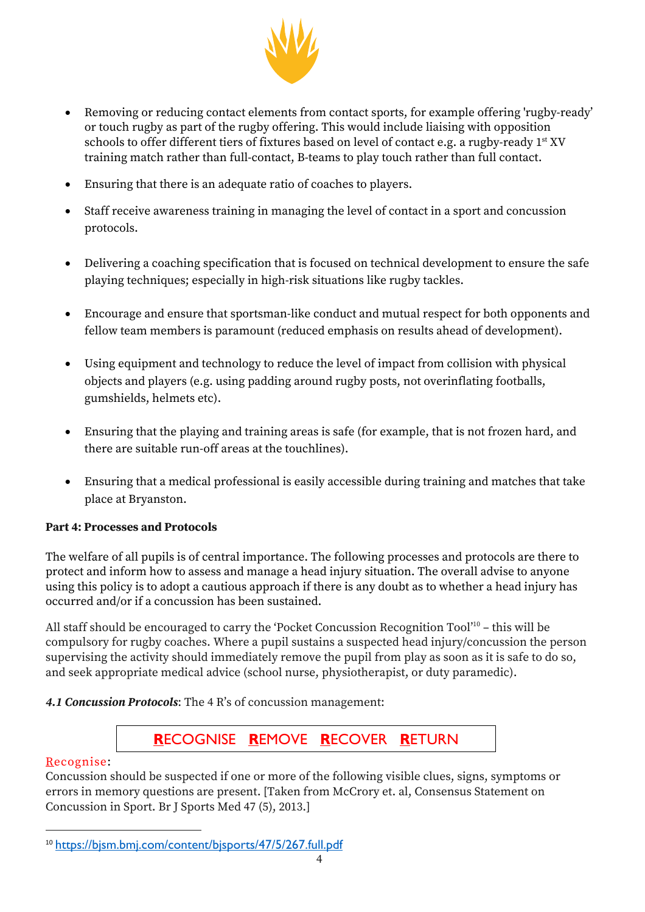

- Removing or reducing contact elements from contact sports, for example offering 'rugby-ready' or touch rugby as part of the rugby offering. This would include liaising with opposition schools to offer different tiers of fixtures based on level of contact e.g. a rugby-ready 1<sup>st</sup> XV training match rather than full-contact, B-teams to play touch rather than full contact.
- Ensuring that there is an adequate ratio of coaches to players.
- Staff receive awareness training in managing the level of contact in a sport and concussion protocols.
- Delivering a coaching specification that is focused on technical development to ensure the safe playing techniques; especially in high-risk situations like rugby tackles.
- Encourage and ensure that sportsman-like conduct and mutual respect for both opponents and fellow team members is paramount (reduced emphasis on results ahead of development).
- Using equipment and technology to reduce the level of impact from collision with physical objects and players (e.g. using padding around rugby posts, not overinflating footballs, gumshields, helmets etc).
- Ensuring that the playing and training areas is safe (for example, that is not frozen hard, and there are suitable run-off areas at the touchlines).
- Ensuring that a medical professional is easily accessible during training and matches that take place at Bryanston.

## **Part 4: Processes and Protocols**

The welfare of all pupils is of central importance. The following processes and protocols are there to protect and inform how to assess and manage a head injury situation. The overall advise to anyone using this policy is to adopt a cautious approach if there is any doubt as to whether a head injury has occurred and/or if a concussion has been sustained.

All staff should be encouraged to carry the 'Pocket Concussion Recognition Tool'10 – this will be compulsory for rugby coaches. Where a pupil sustains a suspected head injury/concussion the person supervising the activity should immediately remove the pupil from play as soon as it is safe to do so, and seek appropriate medical advice (school nurse, physiotherapist, or duty paramedic).

## *4.1 Concussion Protocols*: The 4 R's of concussion management:

# **R**ECOGNISE **R**EMOVE **R**ECOVER **R**ETURN

## Recognise:

Concussion should be suspected if one or more of the following visible clues, signs, symptoms or errors in memory questions are present. [Taken from McCrory et. al, Consensus Statement on Concussion in Sport. Br J Sports Med 47 (5), 2013.]

<sup>10</sup> https://bjsm.bmj.com/content/bjsports/47/5/267.full.pdf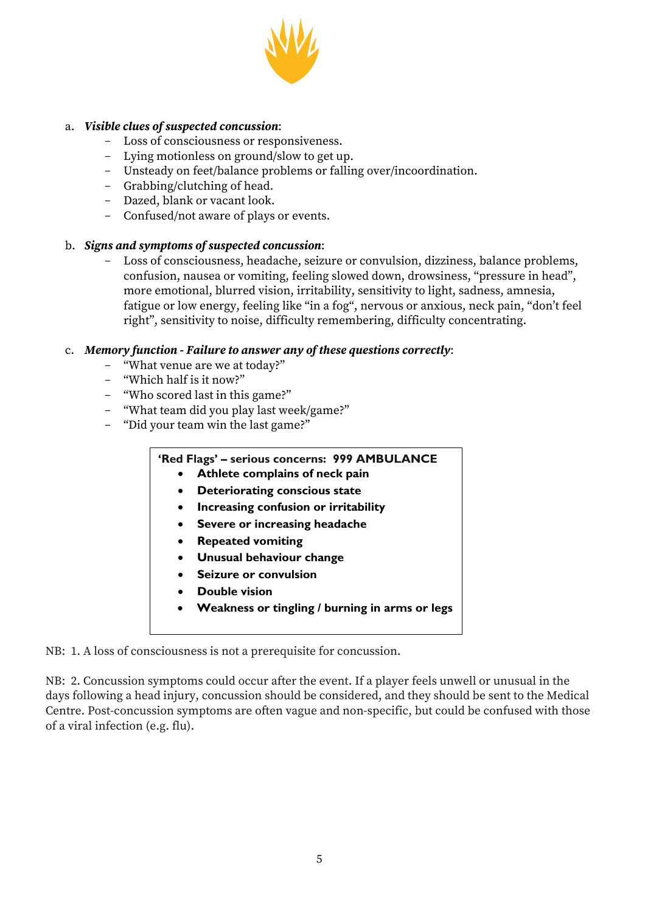

## a. *Visible clues of suspected concussion*:

- Loss of consciousness or responsiveness.
- Lying motionless on ground/slow to get up.
- Unsteady on feet/balance problems or falling over/incoordination.
- Grabbing/clutching of head.
- Dazed, blank or vacant look.
- Confused/not aware of plays or events.

## b. *Signs and symptoms of suspected concussion*:

Loss of consciousness, headache, seizure or convulsion, dizziness, balance problems, confusion, nausea or vomiting, feeling slowed down, drowsiness, "pressure in head", more emotional, blurred vision, irritability, sensitivity to light, sadness, amnesia, fatigue or low energy, feeling like "in a fog", nervous or anxious, neck pain, "don't feel right", sensitivity to noise, difficulty remembering, difficulty concentrating.

## c. *Memory function - Failure to answer any of these questions correctly*:

- "What venue are we at today?"
- "Which half is it now?"
- "Who scored last in this game?"
- "What team did you play last week/game?"
- "Did your team win the last game?"

## **'Red Flags' – serious concerns: 999 AMBULANCE**

- **Athlete complains of neck pain**
- **Deteriorating conscious state**
- **Increasing confusion or irritability**
- **Severe or increasing headache**
- **Repeated vomiting**
- **Unusual behaviour change**
- **Seizure or convulsion**
- **Double vision**
- **Weakness or tingling / burning in arms or legs**

NB: 1. A loss of consciousness is not a prerequisite for concussion.

NB: 2. Concussion symptoms could occur after the event. If a player feels unwell or unusual in the days following a head injury, concussion should be considered, and they should be sent to the Medical Centre. Post-concussion symptoms are often vague and non-specific, but could be confused with those of a viral infection (e.g. flu).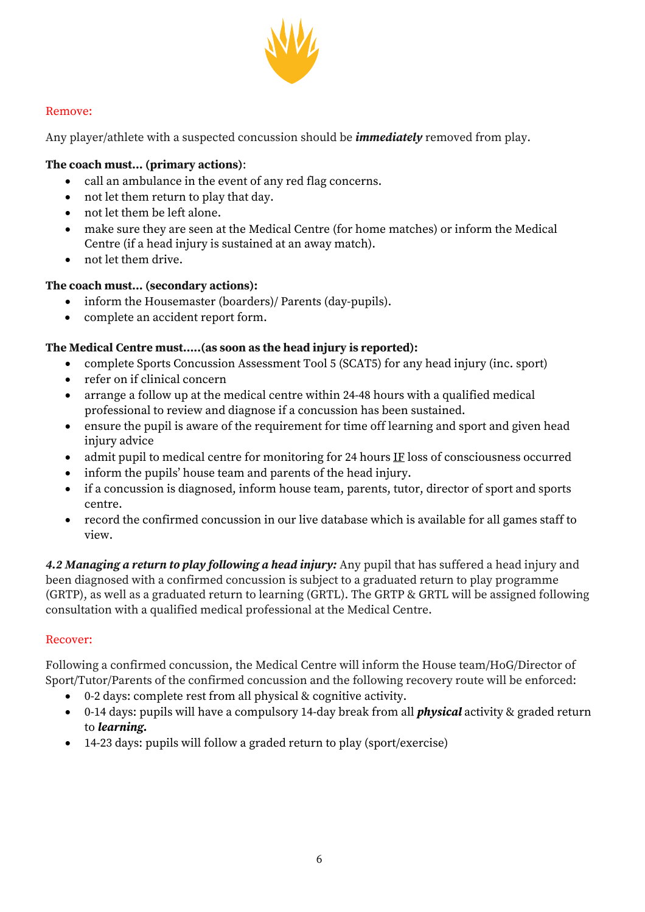

## Remove:

Any player/athlete with a suspected concussion should be *immediately* removed from play.

## **The coach must… (primary actions)**:

- call an ambulance in the event of any red flag concerns.
- not let them return to play that day.
- not let them be left alone.
- make sure they are seen at the Medical Centre (for home matches) or inform the Medical Centre (if a head injury is sustained at an away match).
- not let them drive.

## **The coach must… (secondary actions):**

- inform the Housemaster (boarders)/ Parents (day-pupils).
- complete an accident report form.

## **The Medical Centre must…..(as soon as the head injury is reported):**

- complete Sports Concussion Assessment Tool 5 (SCAT5) for any head injury (inc. sport)
- refer on if clinical concern
- arrange a follow up at the medical centre within 24-48 hours with a qualified medical professional to review and diagnose if a concussion has been sustained.
- ensure the pupil is aware of the requirement for time off learning and sport and given head injury advice
- $\bullet$  admit pupil to medical centre for monitoring for 24 hours IF loss of consciousness occurred
- inform the pupils' house team and parents of the head injury.
- if a concussion is diagnosed, inform house team, parents, tutor, director of sport and sports centre.
- record the confirmed concussion in our live database which is available for all games staff to view.

*4.2 Managing a return to play following a head injury:* Any pupil that has suffered a head injury and been diagnosed with a confirmed concussion is subject to a graduated return to play programme (GRTP), as well as a graduated return to learning (GRTL). The GRTP & GRTL will be assigned following consultation with a qualified medical professional at the Medical Centre.

## Recover:

Following a confirmed concussion, the Medical Centre will inform the House team/HoG/Director of Sport/Tutor/Parents of the confirmed concussion and the following recovery route will be enforced:

- 0-2 days: complete rest from all physical & cognitive activity.
- 0-14 days: pupils will have a compulsory 14-day break from all *physical* activity & graded return to *learning.*
- 14-23 days: pupils will follow a graded return to play (sport/exercise)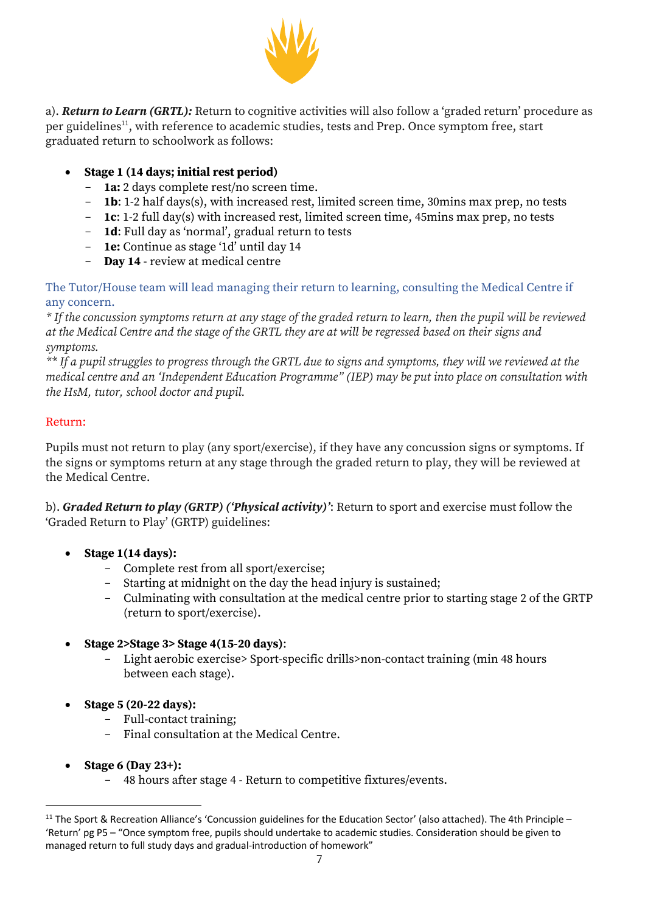

a). *Return to Learn (GRTL):* Return to cognitive activities will also follow a 'graded return' procedure as per guidelines<sup>11</sup>, with reference to academic studies, tests and Prep. Once symptom free, start graduated return to schoolwork as follows:

- **Stage 1 (14 days; initial rest period)**
	- **1a:** 2 days complete rest/no screen time.
	- **1b**: 1-2 half days(s), with increased rest, limited screen time, 30mins max prep, no tests
	- **1c**: 1-2 full day(s) with increased rest, limited screen time, 45mins max prep, no tests
	- **1d**: Full day as 'normal', gradual return to tests
	- **1e:** Continue as stage '1d' until day 14
	- **Day 14** review at medical centre

The Tutor/House team will lead managing their return to learning, consulting the Medical Centre if any concern.

*\* If the concussion symptoms return at any stage of the graded return to learn, then the pupil will be reviewed at the Medical Centre and the stage of the GRTL they are at will be regressed based on their signs and symptoms.* 

*\*\* If a pupil struggles to progress through the GRTL due to signs and symptoms, they will we reviewed at the medical centre and an 'Independent Education Programme" (IEP) may be put into place on consultation with the HsM, tutor, school doctor and pupil.*

## Return:

Pupils must not return to play (any sport/exercise), if they have any concussion signs or symptoms. If the signs or symptoms return at any stage through the graded return to play, they will be reviewed at the Medical Centre.

b). *Graded Return to play (GRTP) ('Physical activity)'*: Return to sport and exercise must follow the 'Graded Return to Play' (GRTP) guidelines:

- **Stage 1(14 days):** 
	- Complete rest from all sport/exercise;
	- Starting at midnight on the day the head injury is sustained;
	- Culminating with consultation at the medical centre prior to starting stage 2 of the GRTP (return to sport/exercise).
- **Stage 2>Stage 3> Stage 4(15-20 days)**:
	- Light aerobic exercise> Sport-specific drills>non-contact training (min 48 hours between each stage).
- **Stage 5 (20-22 days):** 
	- Full-contact training;
	- Final consultation at the Medical Centre.
- **Stage 6 (Day 23+):** 
	- 48 hours after stage 4 Return to competitive fixtures/events.

<sup>&</sup>lt;sup>11</sup> The Sport & Recreation Alliance's 'Concussion guidelines for the Education Sector' (also attached). The 4th Principle – 'Return' pg P5 – "Once symptom free, pupils should undertake to academic studies. Consideration should be given to managed return to full study days and gradual-introduction of homework"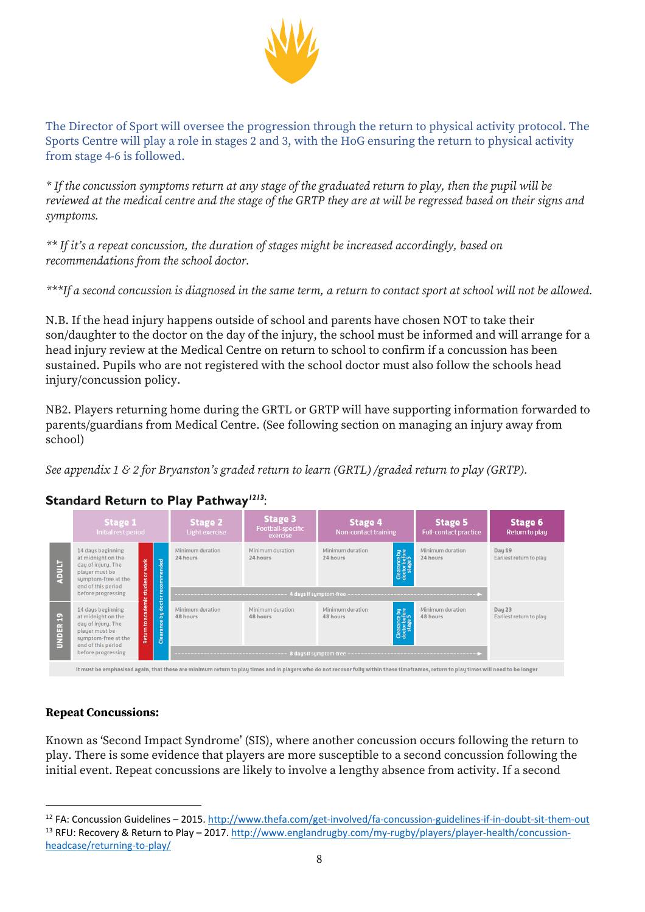

The Director of Sport will oversee the progression through the return to physical activity protocol. The Sports Centre will play a role in stages 2 and 3, with the HoG ensuring the return to physical activity from stage 4-6 is followed.

*\* If the concussion symptoms return at any stage of the graduated return to play, then the pupil will be reviewed at the medical centre and the stage of the GRTP they are at will be regressed based on their signs and symptoms.* 

*\*\* If it's a repeat concussion, the duration of stages might be increased accordingly, based on recommendations from the school doctor.* 

*\*\*\*If a second concussion is diagnosed in the same term, a return to contact sport at school will not be allowed.*

N.B. If the head injury happens outside of school and parents have chosen NOT to take their son/daughter to the doctor on the day of the injury, the school must be informed and will arrange for a head injury review at the Medical Centre on return to school to confirm if a concussion has been sustained. Pupils who are not registered with the school doctor must also follow the schools head injury/concussion policy.

NB2. Players returning home during the GRTL or GRTP will have supporting information forwarded to parents/guardians from Medical Centre. (See following section on managing an injury away from school)

*See appendix 1 & 2 for Bryanston's graded return to learn (GRTL) /graded return to play (GRTP).* 

#### **Standard Return to Play Pathway<sup>1213</sup>:**<br>Stage 1 Stage 2 Stage 3 **Stage 2 Stage 4 Stage 5 Stage 6 Stage 1**<br>Initial rest perio otball-spec<br>exercise Non-contact training Full-contact practice Return to play 14 days beginning Minimum duration Minimum duration Minimum duration Minimum duration Day 19 Earliest return to plau at midnight on the 24 hours 24 hours 24 hours 24 hours dermanight on the<br>day of injury. The<br>player must be<br>symptom-free at the **TINGY Part** end of this period<br>before progressing Clearance by docto 14 daus beginning Minimum duration Minimum duration Minimum duration Minimum duration Dau 23 at midnight on the<br>day of injury. The 48 hours 48 hours 48 hours 48 hours est return to plau UNDER<sub>19</sub> plauer must be symptom-free at the<br>end of this period before progressing It must be emphasised again, that these are minimum return to play times and in players who do not recover fully within these timeframes, return to play times will need to be longer

**Repeat Concussions:**

Known as 'Second Impact Syndrome' (SIS), where another concussion occurs following the return to play. There is some evidence that players are more susceptible to a second concussion following the initial event. Repeat concussions are likely to involve a lengthy absence from activity. If a second

<sup>&</sup>lt;sup>12</sup> FA: Concussion Guidelines – 2015. http://www.thefa.com/get-involved/fa-concussion-guidelines-if-in-doubt-sit-them-out <sup>13</sup> RFU: Recovery & Return to Play – 2017. http://www.englandrugby.com/my-rugby/players/player-health/concussionheadcase/returning-to-play/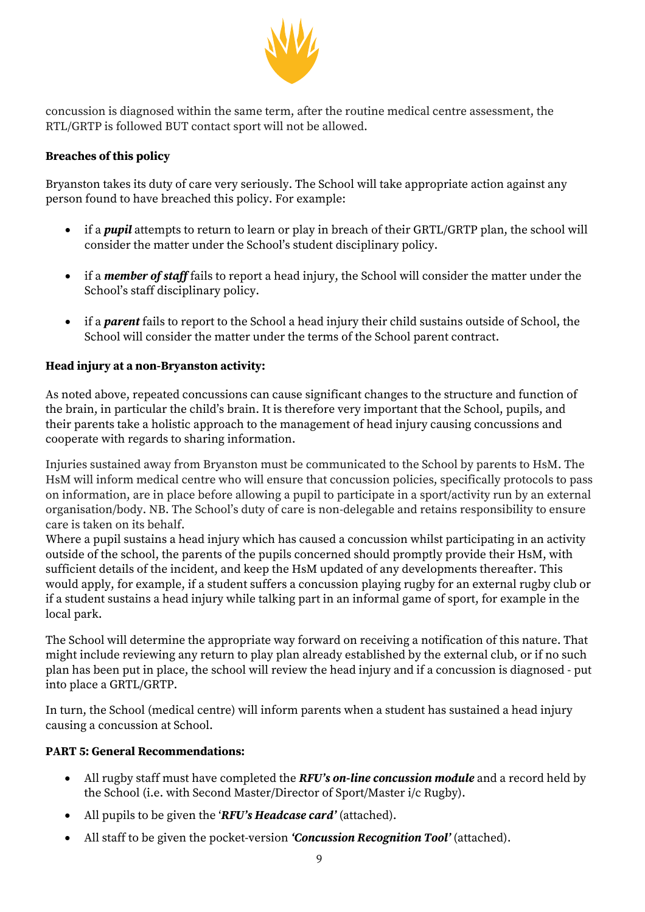

concussion is diagnosed within the same term, after the routine medical centre assessment, the RTL/GRTP is followed BUT contact sport will not be allowed.

## **Breaches of this policy**

Bryanston takes its duty of care very seriously. The School will take appropriate action against any person found to have breached this policy. For example:

- if a *pupil* attempts to return to learn or play in breach of their GRTL/GRTP plan, the school will consider the matter under the School's student disciplinary policy.
- if a *member of staff* fails to report a head injury, the School will consider the matter under the School's staff disciplinary policy.
- if a *parent* fails to report to the School a head injury their child sustains outside of School, the School will consider the matter under the terms of the School parent contract.

## **Head injury at a non-Bryanston activity:**

As noted above, repeated concussions can cause significant changes to the structure and function of the brain, in particular the child's brain. It is therefore very important that the School, pupils, and their parents take a holistic approach to the management of head injury causing concussions and cooperate with regards to sharing information.

Injuries sustained away from Bryanston must be communicated to the School by parents to HsM. The HsM will inform medical centre who will ensure that concussion policies, specifically protocols to pass on information, are in place before allowing a pupil to participate in a sport/activity run by an external organisation/body. NB. The School's duty of care is non-delegable and retains responsibility to ensure care is taken on its behalf.

Where a pupil sustains a head injury which has caused a concussion whilst participating in an activity outside of the school, the parents of the pupils concerned should promptly provide their HsM, with sufficient details of the incident, and keep the HsM updated of any developments thereafter. This would apply, for example, if a student suffers a concussion playing rugby for an external rugby club or if a student sustains a head injury while talking part in an informal game of sport, for example in the local park.

The School will determine the appropriate way forward on receiving a notification of this nature. That might include reviewing any return to play plan already established by the external club, or if no such plan has been put in place, the school will review the head injury and if a concussion is diagnosed - put into place a GRTL/GRTP.

In turn, the School (medical centre) will inform parents when a student has sustained a head injury causing a concussion at School.

## **PART 5: General Recommendations:**

- All rugby staff must have completed the *RFU's on-line concussion module* and a record held by the School (i.e. with Second Master/Director of Sport/Master i/c Rugby).
- All pupils to be given the '*RFU's Headcase card'* (attached).
- All staff to be given the pocket-version *'Concussion Recognition Tool'* (attached).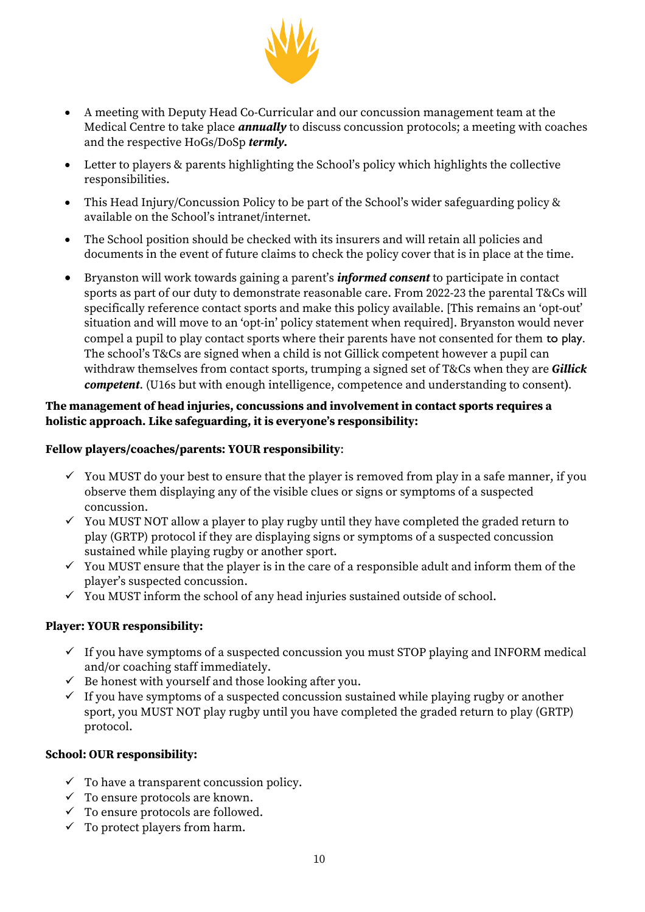

- A meeting with Deputy Head Co-Curricular and our concussion management team at the Medical Centre to take place *annually* to discuss concussion protocols; a meeting with coaches and the respective HoGs/DoSp *termly.*
- Letter to players & parents highlighting the School's policy which highlights the collective responsibilities.
- This Head Injury/Concussion Policy to be part of the School's wider safeguarding policy & available on the School's intranet/internet.
- The School position should be checked with its insurers and will retain all policies and documents in the event of future claims to check the policy cover that is in place at the time.
- Bryanston will work towards gaining a parent's *informed consent* to participate in contact sports as part of our duty to demonstrate reasonable care. From 2022-23 the parental T&Cs will specifically reference contact sports and make this policy available. [This remains an 'opt-out' situation and will move to an 'opt-in' policy statement when required]. Bryanston would never compel a pupil to play contact sports where their parents have not consented for them to play. The school's T&Cs are signed when a child is not Gillick competent however a pupil can withdraw themselves from contact sports, trumping a signed set of T&Cs when they are *Gillick competent*. (U16s but with enough intelligence, competence and understanding to consent).

## **The management of head injuries, concussions and involvement in contact sports requires a holistic approach. Like safeguarding, it is everyone's responsibility:**

## **Fellow players/coaches/parents: YOUR responsibility**:

- $\checkmark$  You MUST do your best to ensure that the player is removed from play in a safe manner, if you observe them displaying any of the visible clues or signs or symptoms of a suspected concussion.
- $\checkmark$  You MUST NOT allow a player to play rugby until they have completed the graded return to play (GRTP) protocol if they are displaying signs or symptoms of a suspected concussion sustained while playing rugby or another sport.
- $\checkmark$  You MUST ensure that the player is in the care of a responsible adult and inform them of the player's suspected concussion.
- $\checkmark$  You MUST inform the school of any head injuries sustained outside of school.

## **Player: YOUR responsibility:**

- $\checkmark$  If you have symptoms of a suspected concussion you must STOP playing and INFORM medical and/or coaching staff immediately.
- $\checkmark$  Be honest with yourself and those looking after you.
- $\checkmark$  If you have symptoms of a suspected concussion sustained while playing rugby or another sport, you MUST NOT play rugby until you have completed the graded return to play (GRTP) protocol.

## **School: OUR responsibility:**

- $\checkmark$  To have a transparent concussion policy.
- $\checkmark$  To ensure protocols are known.
- $\checkmark$  To ensure protocols are followed.
- $\checkmark$  To protect players from harm.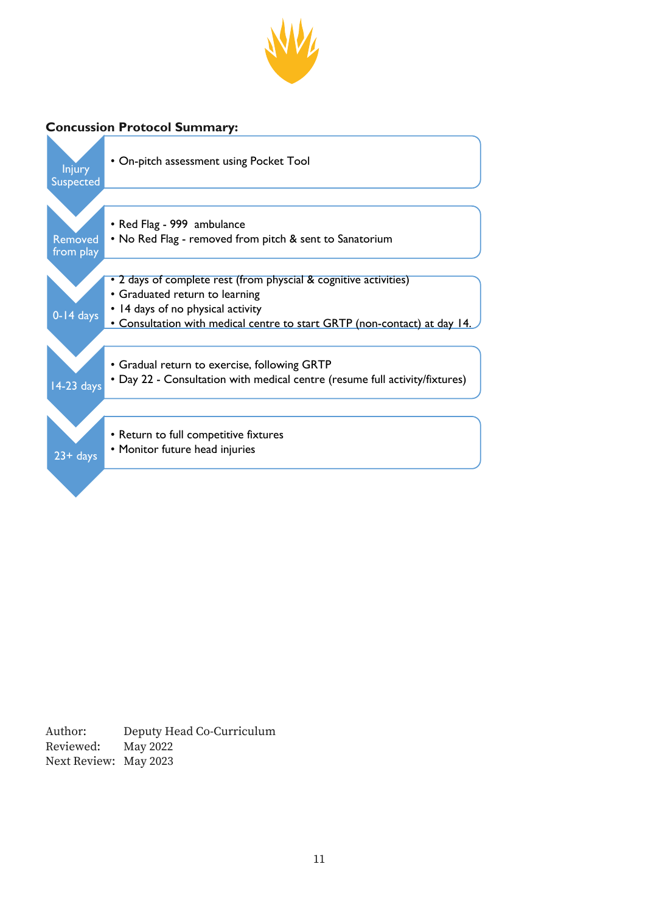

**Concussion Protocol Summary:** 



Author: Deputy Head Co-Curriculum Reviewed: May 2022 Next Review: May 2023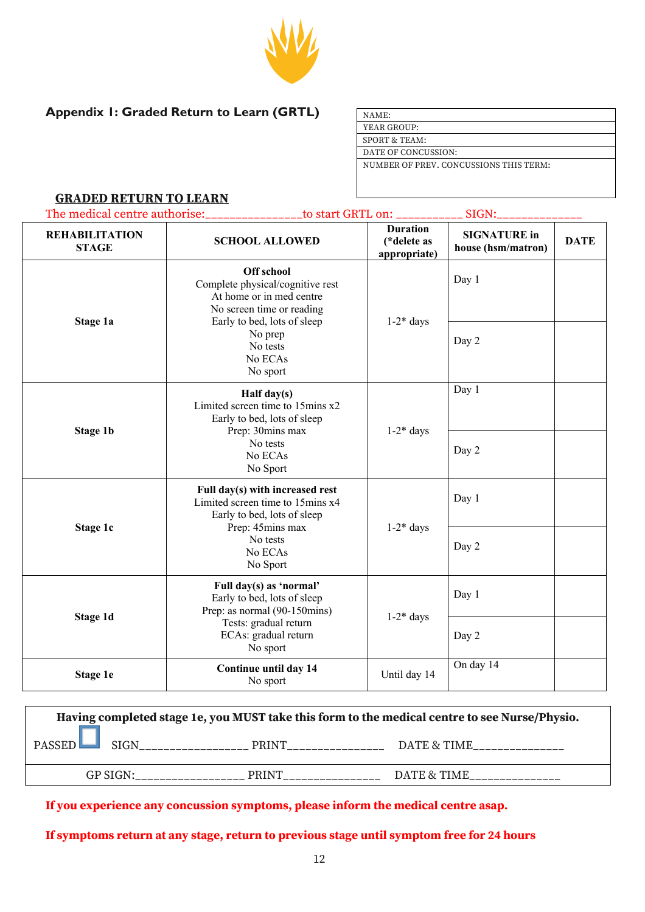

## **Appendix 1: Graded Return to Learn (GRTL)**

| NAME:                                  |  |
|----------------------------------------|--|
| YEAR GROUP:                            |  |
| SPORT & TEAM:                          |  |
| DATE OF CONCUSSION:                    |  |
| NUMBER OF PREV. CONCUSSIONS THIS TERM: |  |
|                                        |  |

## **GRADED RETURN TO LEARN**

|  | . |  |
|--|---|--|

| <b>REHABILITATION</b><br><b>STAGE</b>                                                                                                                                  | <b>Duration</b><br>(*delete as<br><b>SCHOOL ALLOWED</b><br>appropriate)                                                |                               | <b>SIGNATURE</b> in<br>house (hsm/matron) | <b>DATE</b> |
|------------------------------------------------------------------------------------------------------------------------------------------------------------------------|------------------------------------------------------------------------------------------------------------------------|-------------------------------|-------------------------------------------|-------------|
|                                                                                                                                                                        | Off school<br>Complete physical/cognitive rest<br>At home or in med centre<br>No screen time or reading                |                               | Day 1                                     |             |
| Stage 1a                                                                                                                                                               | Early to bed, lots of sleep<br>No prep<br>No tests<br>No ECAs<br>No sport                                              | $1-2*$ days                   | Day 2                                     |             |
| <b>Stage 1b</b>                                                                                                                                                        | Half day(s)<br>Limited screen time to 15mins x2<br>Early to bed, lots of sleep<br>Prep: 30mins max                     | $1-2*$ days                   | Day 1                                     |             |
|                                                                                                                                                                        | No tests<br>No ECAs<br>No Sport                                                                                        |                               | Day 2                                     |             |
| Stage 1c                                                                                                                                                               | Full day(s) with increased rest<br>Limited screen time to 15mins x4<br>Early to bed, lots of sleep<br>Prep: 45mins max | Day 1<br>$1-2*$ days<br>Day 2 |                                           |             |
|                                                                                                                                                                        | No tests<br>No ECAs<br>No Sport                                                                                        |                               |                                           |             |
| Full day(s) as 'normal'<br>Early to bed, lots of sleep<br>Prep: as normal (90-150mins)<br><b>Stage 1d</b><br>Tests: gradual return<br>ECAs: gradual return<br>No sport | $1-2*$ days                                                                                                            | Day 1                         |                                           |             |
|                                                                                                                                                                        |                                                                                                                        |                               | Day 2                                     |             |
| Stage 1e                                                                                                                                                               | Continue until day 14<br>No sport                                                                                      |                               | On day 14                                 |             |

| Having completed stage 1e, you MUST take this form to the medical centre to see Nurse/Physio. |              |             |  |
|-----------------------------------------------------------------------------------------------|--------------|-------------|--|
| <b>PASSED</b><br><b>SIGN</b>                                                                  | <b>PRINT</b> | DATE & TIME |  |
| $GP$ SIGN:                                                                                    | <b>PRINT</b> | DATE & TIME |  |

## **If you experience any concussion symptoms, please inform the medical centre asap.**

**If symptoms return at any stage, return to previous stage until symptom free for 24 hours**